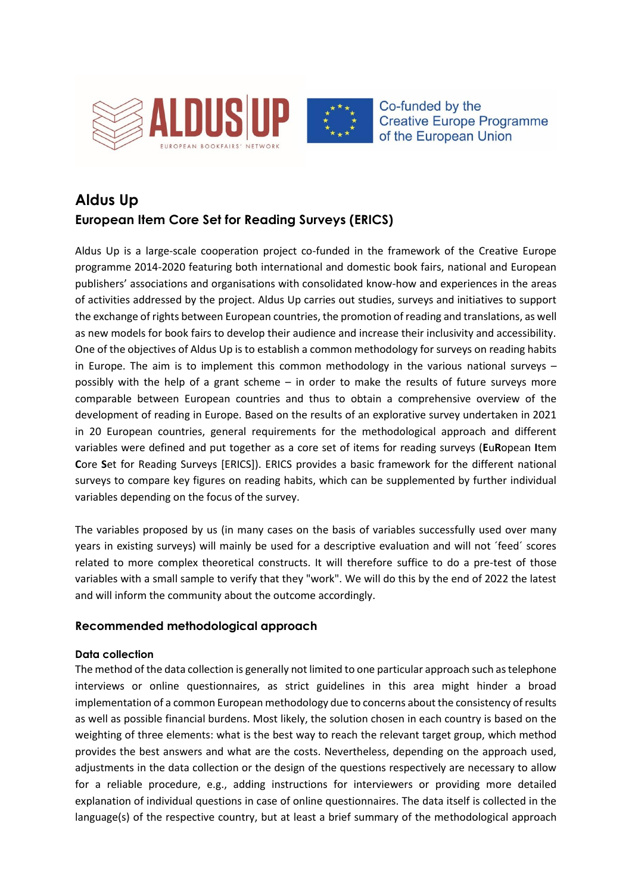



Co-funded by the **Creative Europe Programme** of the European Union

# **Aldus Up European Item Core Set for Reading Surveys (ERICS)**

Aldus Up is a large-scale cooperation project co-funded in the framework of the Creative Europe programme 2014-2020 featuring both international and domestic book fairs, national and European publishers' associations and organisations with consolidated know-how and experiences in the areas of activities addressed by the project. Aldus Up carries out studies, surveys and initiatives to support the exchange of rights between European countries, the promotion of reading and translations, as well as new models for book fairs to develop their audience and increase their inclusivity and accessibility. One of the objectives of Aldus Up is to establish a common methodology for surveys on reading habits in Europe. The aim is to implement this common methodology in the various national surveys – possibly with the help of a grant scheme – in order to make the results of future surveys more comparable between European countries and thus to obtain a comprehensive overview of the development of reading in Europe. Based on the results of an explorative survey undertaken in 2021 in 20 European countries, general requirements for the methodological approach and different variables were defined and put together as a core set of items for reading surveys (**E**u**R**opean **I**tem **C**ore **S**et for Reading Surveys [ERICS]). ERICS provides a basic framework for the different national surveys to compare key figures on reading habits, which can be supplemented by further individual variables depending on the focus of the survey.

The variables proposed by us (in many cases on the basis of variables successfully used over many years in existing surveys) will mainly be used for a descriptive evaluation and will not ´feed´ scores related to more complex theoretical constructs. It will therefore suffice to do a pre-test of those variables with a small sample to verify that they "work". We will do this by the end of 2022 the latest and will inform the community about the outcome accordingly.

# **Recommended methodological approach**

### **Data collection**

The method of the data collection is generally not limited to one particular approach such as telephone interviews or online questionnaires, as strict guidelines in this area might hinder a broad implementation of a common European methodology due to concerns about the consistency of results as well as possible financial burdens. Most likely, the solution chosen in each country is based on the weighting of three elements: what is the best way to reach the relevant target group, which method provides the best answers and what are the costs. Nevertheless, depending on the approach used, adjustments in the data collection or the design of the questions respectively are necessary to allow for a reliable procedure, e.g., adding instructions for interviewers or providing more detailed explanation of individual questions in case of online questionnaires. The data itself is collected in the language(s) of the respective country, but at least a brief summary of the methodological approach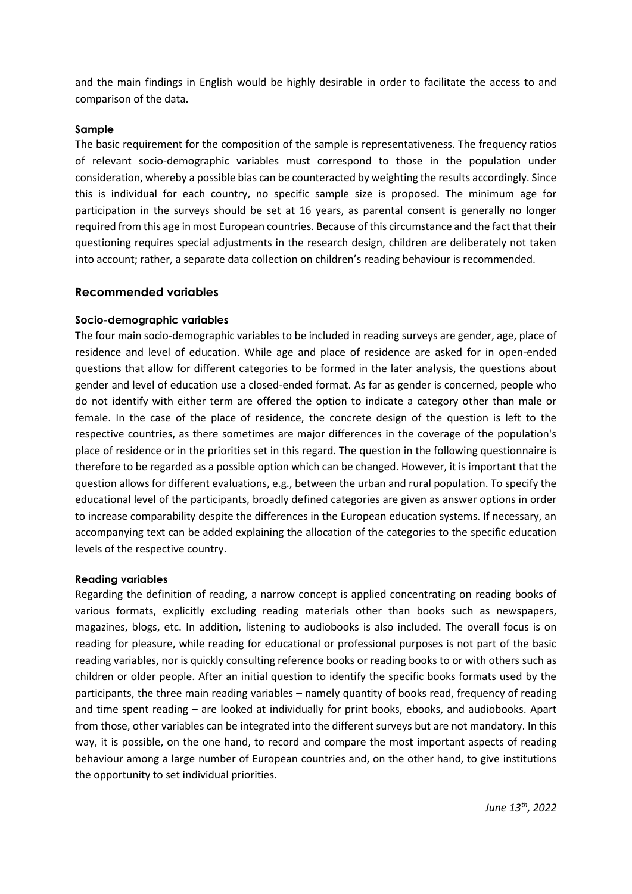and the main findings in English would be highly desirable in order to facilitate the access to and comparison of the data.

#### **Sample**

The basic requirement for the composition of the sample is representativeness. The frequency ratios of relevant socio-demographic variables must correspond to those in the population under consideration, whereby a possible bias can be counteracted by weighting the results accordingly. Since this is individual for each country, no specific sample size is proposed. The minimum age for participation in the surveys should be set at 16 years, as parental consent is generally no longer required from this age in most European countries. Because of this circumstance and the fact that their questioning requires special adjustments in the research design, children are deliberately not taken into account; rather, a separate data collection on children's reading behaviour is recommended.

#### **Recommended variables**

#### **Socio-demographic variables**

The four main socio-demographic variables to be included in reading surveys are gender, age, place of residence and level of education. While age and place of residence are asked for in open-ended questions that allow for different categories to be formed in the later analysis, the questions about gender and level of education use a closed-ended format. As far as gender is concerned, people who do not identify with either term are offered the option to indicate a category other than male or female. In the case of the place of residence, the concrete design of the question is left to the respective countries, as there sometimes are major differences in the coverage of the population's place of residence or in the priorities set in this regard. The question in the following questionnaire is therefore to be regarded as a possible option which can be changed. However, it is important that the question allows for different evaluations, e.g., between the urban and rural population. To specify the educational level of the participants, broadly defined categories are given as answer options in order to increase comparability despite the differences in the European education systems. If necessary, an accompanying text can be added explaining the allocation of the categories to the specific education levels of the respective country.

#### **Reading variables**

Regarding the definition of reading, a narrow concept is applied concentrating on reading books of various formats, explicitly excluding reading materials other than books such as newspapers, magazines, blogs, etc. In addition, listening to audiobooks is also included. The overall focus is on reading for pleasure, while reading for educational or professional purposes is not part of the basic reading variables, nor is quickly consulting reference books or reading books to or with others such as children or older people. After an initial question to identify the specific books formats used by the participants, the three main reading variables – namely quantity of books read, frequency of reading and time spent reading – are looked at individually for print books, ebooks, and audiobooks. Apart from those, other variables can be integrated into the different surveys but are not mandatory. In this way, it is possible, on the one hand, to record and compare the most important aspects of reading behaviour among a large number of European countries and, on the other hand, to give institutions the opportunity to set individual priorities.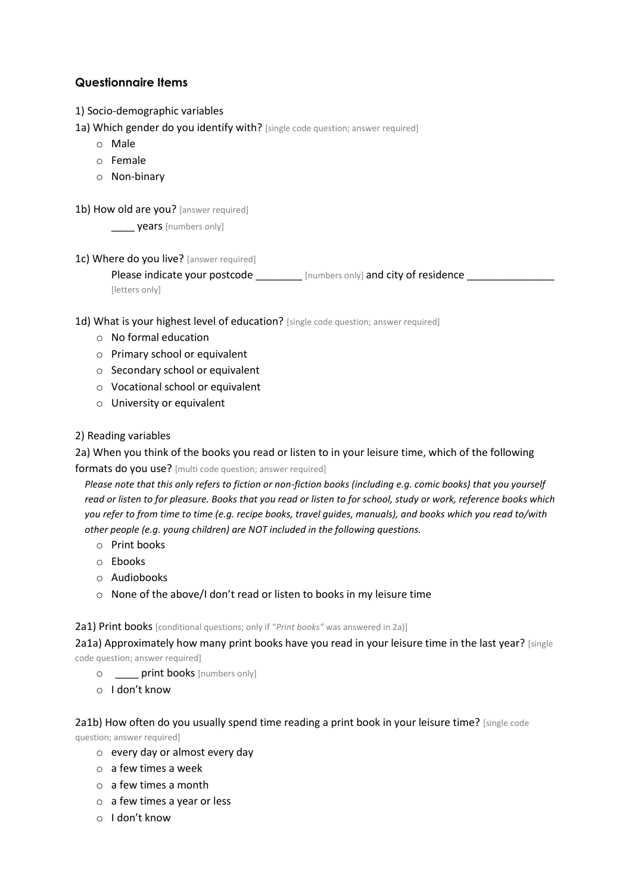# **Questionnaire Items**

- 1) Socio-demographic variables
- 1a) Which gender do you identify with? [single code question; answer required]
	- o Male
	- o Female
	- o Non-binary
- 1b) How old are you? [answer required]

years [numbers only]

1c) Where do you live? [answer required]

Please indicate your postcode [numbers only] and city of residence [letters only]

1d) What is your highest level of education? [single code question; answer required]

- o No formal education
- o Primary school or equivalent
- o Secondary school or equivalent
- o Vocational school or equivalent
- o University or equivalent

#### 2) Reading variables

2a) When you think of the books you read or listen to in your leisure time, which of the following

formats do you use? [multi code question; answer required]

 *Please note that this only refers to fiction or non-fiction books (including e.g. comic books) that you yourself read or listen to for pleasure. Books that you read or listen to for school, study or work, reference books which you refer to from time to time (e.g. recipe books, travel guides, manuals), and books which you read to/with other people (e.g. young children) are NOT included in the following questions.*

- o Print books
- o Ebooks
- o Audiobooks
- o None of the above/I don't read or listen to books in my leisure time

2a1) Print books [conditional questions; only if "*Print books"* was answered in 2a)]

2a1a) Approximately how many print books have you read in your leisure time in the last year? [single code question; answer required]

- o **\_\_\_\_ print books** [numbers only]
- o I don't know

#### 2a1b) How often do you usually spend time reading a print book in your leisure time? [single code

question; answer required]

- o every day or almost every day
- o a few times a week
- o a few times a month
- o a few times a year or less
- o I don't know